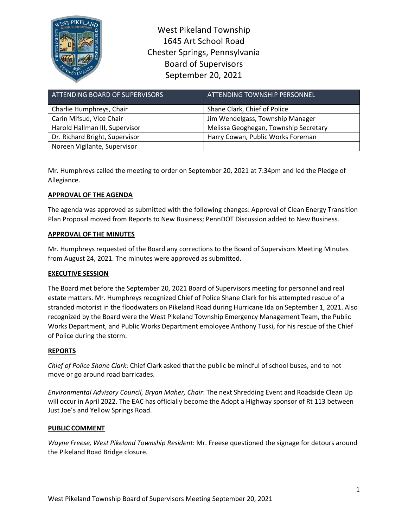

West Pikeland Township 1645 Art School Road Chester Springs, Pennsylvania Board of Supervisors September 20, 2021

| ATTENDING BOARD OF SUPERVISORS | ATTENDING TOWNSHIP PERSONNEL          |
|--------------------------------|---------------------------------------|
| Charlie Humphreys, Chair       | Shane Clark, Chief of Police          |
| Carin Mifsud, Vice Chair       | Jim Wendelgass, Township Manager      |
| Harold Hallman III, Supervisor | Melissa Geoghegan, Township Secretary |
| Dr. Richard Bright, Supervisor | Harry Cowan, Public Works Foreman     |
| Noreen Vigilante, Supervisor   |                                       |

Mr. Humphreys called the meeting to order on September 20, 2021 at 7:34pm and led the Pledge of Allegiance.

# **APPROVAL OF THE AGENDA**

The agenda was approved as submitted with the following changes: Approval of Clean Energy Transition Plan Proposal moved from Reports to New Business; PennDOT Discussion added to New Business.

# **APPROVAL OF THE MINUTES**

Mr. Humphreys requested of the Board any corrections to the Board of Supervisors Meeting Minutes from August 24, 2021. The minutes were approved as submitted.

# **EXECUTIVE SESSION**

The Board met before the September 20, 2021 Board of Supervisors meeting for personnel and real estate matters. Mr. Humphreys recognized Chief of Police Shane Clark for his attempted rescue of a stranded motorist in the floodwaters on Pikeland Road during Hurricane Ida on September 1, 2021. Also recognized by the Board were the West Pikeland Township Emergency Management Team, the Public Works Department, and Public Works Department employee Anthony Tuski, for his rescue of the Chief of Police during the storm.

### **REPORTS**

*Chief of Police Shane Clark:* Chief Clark asked that the public be mindful of school buses, and to not move or go around road barricades.

*Environmental Advisory Council, Bryan Maher, Chair*: The next Shredding Event and Roadside Clean Up will occur in April 2022. The EAC has officially become the Adopt a Highway sponsor of Rt 113 between Just Joe's and Yellow Springs Road.

### **PUBLIC COMMENT**

*Wayne Freese, West Pikeland Township Resident*: Mr. Freese questioned the signage for detours around the Pikeland Road Bridge closure.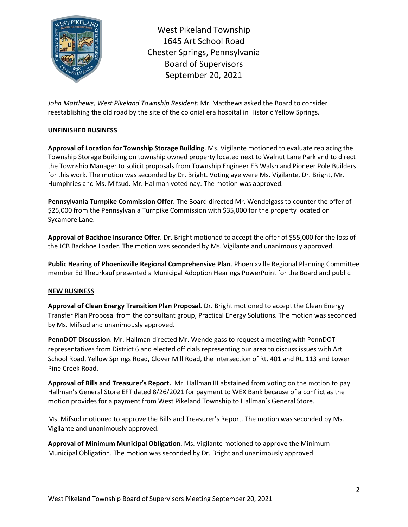

West Pikeland Township 1645 Art School Road Chester Springs, Pennsylvania Board of Supervisors September 20, 2021

*John Matthews, West Pikeland Township Resident:* Mr. Matthews asked the Board to consider reestablishing the old road by the site of the colonial era hospital in Historic Yellow Springs.

## **UNFINISHED BUSINESS**

**Approval of Location for Township Storage Building**. Ms. Vigilante motioned to evaluate replacing the Township Storage Building on township owned property located next to Walnut Lane Park and to direct the Township Manager to solicit proposals from Township Engineer EB Walsh and Pioneer Pole Builders for this work. The motion was seconded by Dr. Bright. Voting aye were Ms. Vigilante, Dr. Bright, Mr. Humphries and Ms. Mifsud. Mr. Hallman voted nay. The motion was approved.

**Pennsylvania Turnpike Commission Offer**. The Board directed Mr. Wendelgass to counter the offer of \$25,000 from the Pennsylvania Turnpike Commission with \$35,000 for the property located on Sycamore Lane.

**Approval of Backhoe Insurance Offer**. Dr. Bright motioned to accept the offer of \$55,000 for the loss of the JCB Backhoe Loader. The motion was seconded by Ms. Vigilante and unanimously approved.

**Public Hearing of Phoenixville Regional Comprehensive Plan**. Phoenixville Regional Planning Committee member Ed Theurkauf presented a Municipal Adoption Hearings PowerPoint for the Board and public.

### **NEW BUSINESS**

**Approval of Clean Energy Transition Plan Proposal.** Dr. Bright motioned to accept the Clean Energy Transfer Plan Proposal from the consultant group, Practical Energy Solutions. The motion was seconded by Ms. Mifsud and unanimously approved.

**PennDOT Discussion**. Mr. Hallman directed Mr. Wendelgass to request a meeting with PennDOT representatives from District 6 and elected officials representing our area to discuss issues with Art School Road, Yellow Springs Road, Clover Mill Road, the intersection of Rt. 401 and Rt. 113 and Lower Pine Creek Road.

**Approval of Bills and Treasurer's Report.** Mr. Hallman III abstained from voting on the motion to pay Hallman's General Store EFT dated 8/26/2021 for payment to WEX Bank because of a conflict as the motion provides for a payment from West Pikeland Township to Hallman's General Store.

Ms. Mifsud motioned to approve the Bills and Treasurer's Report. The motion was seconded by Ms. Vigilante and unanimously approved.

**Approval of Minimum Municipal Obligation**. Ms. Vigilante motioned to approve the Minimum Municipal Obligation. The motion was seconded by Dr. Bright and unanimously approved.